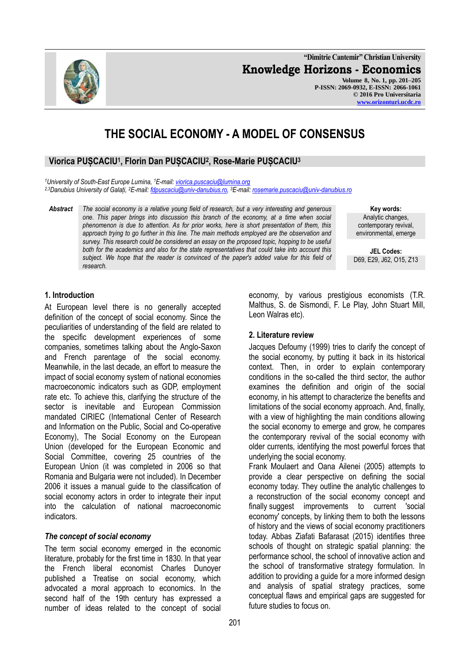**"Dimitrie Cantemir" Christian University Knowledge Horizons - Economics Volume 8, No. 1, pp. 201–205 P-ISSN: 2069-0932, E-ISSN: 2066-1061 © 2016 Pro Universitaria [www.orizonturi.ucdc.ro](http://www.orizonturi.ucdc.ro/)**

# **THE SOCIAL ECONOMY - A MODEL OF CONSENSUS**

## **Viorica PUȘCACIU<sup>1</sup> , Florin Dan PUȘCACIU<sup>2</sup> , Rose-Marie PUȘCACIU<sup>3</sup>**

*<sup>1</sup>University of South-East Europe Lumina, <sup>1</sup>E-mail[: viorica.puscaciu@lumina.org](mailto:viorica.puscaciu@lumina.org) 2,3Danubius University of Galați, <sup>2</sup>E-mail[: fdpuscaciu@univ-danubius.ro,](mailto:fdpuscaciu@univ-danubius.ro)  <sup>3</sup>E-mail: [rosemarie.puscaciu@univ-danubius.ro](mailto:rosemarie.puscaciu@univ-danubius.ro)*

*Abstract The social economy is a relative young field of research, but a very interesting and generous one. This paper brings into discussion this branch of the economy, at a time when social phenomenon is due to attention. As for prior works, here is short presentation of them, this approach trying to go further in this line. The main methods employed are the observation and survey. This research could be considered an essay on the proposed topic, hopping to be useful both for the academics and also for the state representatives that could take into account this*  subject. We hope that the reader is convinced of the paper's added value for this field of *research.*

> economy, by various prestigious economists (T.R. Malthus, S. de Sismondi, F. Le Play, John Stuart Mill, Leon Walras etc).

### **2. Literature review**

Jacques Defoumy (1999) tries to clarify the concept of the social economy, by putting it back in its historical context. Then, in order to explain contemporary conditions in the so-called the third sector, the author examines the definition and origin of the social economy, in his attempt to characterize the benefits and limitations of the social economy approach. And, finally, with a view of highlighting the main conditions allowing the social economy to emerge and grow, he compares the contemporary revival of the social economy with older currents, identifying the most powerful forces that underlying the social economy.

[Frank Moulaert](http://usj.sagepub.com/search?author1=Frank+Moulaert&sortspec=date&submit=Submit) and [Oana Ailenei](http://usj.sagepub.com/search?author1=Oana+Ailenei&sortspec=date&submit=Submit) (2005) attempts to provide a clear perspective on defining the social economy today. They outline the analytic challenges to a reconstruction of the social economy concept and finally suggest improvements to current 'social economy' concepts, by linking them to both the lessons of history and the views of social economy practitioners today. [Abbas Ziafati Bafarasat](http://jpl.sagepub.com/search?author1=Abbas+Ziafati+Bafarasat&sortspec=date&submit=Submit) (2015) identifies three schools of thought on strategic spatial planning: the performance school, the school of innovative action and the school of transformative strategy formulation. In addition to providing a guide for a more informed design and analysis of spatial strategy practices, some conceptual flaws and empirical gaps are suggested for future studies to focus on.

### **1. Introduction**

At European level there is no generally accepted definition of the concept of social economy. Since the peculiarities of understanding of the field are related to the specific development experiences of some companies, sometimes talking about the Anglo-Saxon and French parentage of the social economy. Meanwhile, in the last decade, an effort to measure the impact of social economy system of national economies macroeconomic indicators such as GDP, employment rate etc. To achieve this, clarifying the structure of the sector is inevitable and European Commission mandated CIRIEC (International Center of Research and Information on the Public, Social and Co-operative Economy), The Social Economy on the European Union (developed for the European Economic and Social Committee, covering 25 countries of the European Union (it was completed in 2006 so that Romania and Bulgaria were not included). In December 2006 it issues a manual guide to the classification of social economy actors in order to integrate their input into the calculation of national macroeconomic indicators.

### *The concept of social economy*

The term social economy emerged in the economic literature, probably for the first time in 1830. In that year the French liberal economist Charles Dunoyer published a Treatise on social economy, which advocated a moral approach to economics. In the second half of the 19th century has expressed a number of ideas related to the concept of social



**Key words:** Analytic changes, contemporary revival, environmental, emerge

**JEL Codes:** D69, E29, J62, O15, Z13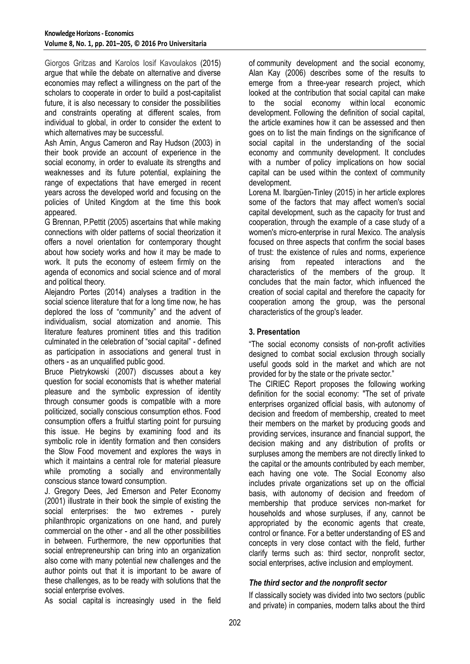[Giorgos Gritzas](http://eur.sagepub.com/search?author1=Giorgos+Gritzas&sortspec=date&submit=Submit) and [Karolos Iosif Kavoulakos](http://eur.sagepub.com/search?author1=Karolos+Iosif+Kavoulakos&sortspec=date&submit=Submit) (2015) argue that while the debate on alternative and diverse economies may reflect a willingness on the part of the scholars to cooperate in order to build a post-capitalist future, it is also necessary to consider the possibilities and constraints operating at different scales, from individual to global, in order to consider the extent to which alternatives may be successful.

Ash Amin, Angus Cameron and Ray Hudson (2003) in their book provide an account of experience in the social economy, in order to evaluate its strengths and weaknesses and its future potential, explaining the range of expectations that have emerged in recent years across the developed world and focusing on the policies of United Kingdom at the time this book appeared.

G Brennan, [P.Pettit](https://scholar.google.ro/citations?user=jQNfOoEAAAAJ&hl=ro&oi=sra) (2005) ascertains that while making connections with older patterns of social theorization it offers a novel orientation for contemporary thought about how society works and how it may be made to work. It puts the economy of esteem firmly on the agenda of economics and social science and of moral and political theory.

Alejandro Portes (2014) analyses a tradition in the social science literature that for a long time now, he has deplored the loss of "community" and the advent of individualism, social atomization and anomie. This literature features prominent titles and this tradition culminated in the celebration of "social capital" - defined as participation in associations and general trust in others - as an unqualified public good.

Bruce Pietrykowski (2007) discusses about a key question for social economists that is whether material pleasure and the symbolic expression of identity through consumer goods is compatible with a more politicized, socially conscious consumption ethos. Food consumption offers a fruitful starting point for pursuing this issue. He begins by examining food and its symbolic role in identity formation and then considers the Slow Food movement and explores the ways in which it maintains a central role for material pleasure while promoting a socially and environmentally conscious stance toward consumption.

J. Gregory Dees, Jed Emerson and Peter Economy (2001) illustrate in their book the simple of existing the social enterprises: the two extremes - purely philanthropic organizations on one hand, and purely commercial on the other - and all the other possibilities in between. Furthermore, the new opportunities that social entrepreneurship can bring into an organization also come with many potential new challenges and the author points out that it is important to be aware of these challenges, as to be ready with solutions that the social enterprise evolves.

As social capital is increasingly used in the field

of community development and the social economy, [Alan Kay](http://cdj.oxfordjournals.org/search?author1=Alan+Kay&sortspec=date&submit=Submit) (2006) describes some of the results to emerge from a three-year research project, which looked at the contribution that social capital can make to the social economy within local economic development. Following the definition of social capital, the article examines how it can be assessed and then goes on to list the main findings on the significance of social capital in the understanding of the social economy and community development. It concludes with a number of policy implications on how social capital can be used within the context of community development.

Lorena M. Ibargüen-Tinley (2015) in her article explores some of the factors that may affect women's social capital development, such as the capacity for trust and cooperation, through the example of a case study of a women's micro-enterprise in rural Mexico. The analysis focused on three aspects that confirm the social bases of trust: the existence of rules and norms, experience arising from repeated interactions and the characteristics of the members of the group. It concludes that the main factor, which influenced the creation of social capital and therefore the capacity for cooperation among the group, was the personal characteristics of the group's leader.

### **3. Presentation**

"The social economy consists of non-profit activities designed to combat social exclusion through socially useful goods sold in the market and which are not provided for by the state or the private sector."

The CIRIEC Report proposes the following working definition for the social economy: "The set of private enterprises organized official basis, with autonomy of decision and freedom of membership, created to meet their members on the market by producing goods and providing services, insurance and financial support, the decision making and any distribution of profits or surpluses among the members are not directly linked to the capital or the amounts contributed by each member, each having one vote. The Social Economy also includes private organizations set up on the official basis, with autonomy of decision and freedom of membership that produce services non-market for households and whose surpluses, if any, cannot be appropriated by the economic agents that create, control or finance. For a better understanding of ES and concepts in very close contact with the field, further clarify terms such as: third sector, nonprofit sector, social enterprises, active inclusion and employment.

### *The third sector and the nonprofit sector*

If classically society was divided into two sectors (public and private) in companies, modern talks about the third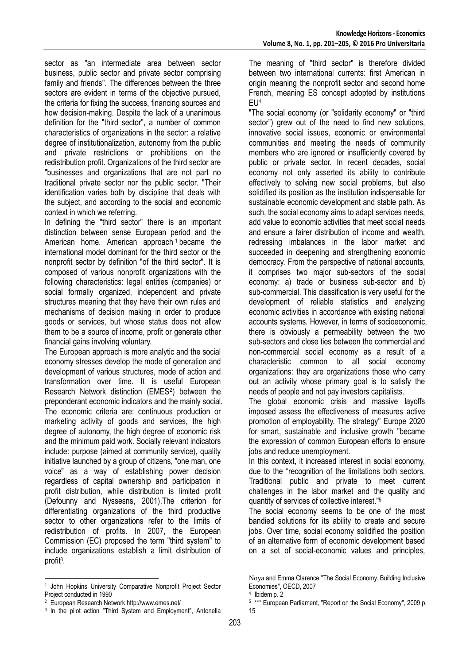sector as "an intermediate area between sector business, public sector and private sector comprising family and friends". The differences between the three sectors are evident in terms of the objective pursued. the criteria for fixing the success, financing sources and how decision-making. Despite the lack of a unanimous definition for the "third sector", a number of common characteristics of organizations in the sector: a relative degree of institutionalization, autonomy from the public and private restrictions or prohibitions on the redistribution profit. Organizations of the third sector are "businesses and organizations that are not part no traditional private sector nor the public sector. "Their identification varies both by discipline that deals with the subject, and according to the social and economic context in which we referring.

In defining the "third sector" there is an important distinction between sense European period and the American home. American approach <sup>1</sup> became the international model dominant for the third sector or the nonprofit sector by definition "of the third sector". It is composed of various nonprofit organizations with the following characteristics: legal entities (companies) or social formally organized, independent and private structures meaning that they have their own rules and mechanisms of decision making in order to produce goods or services, but whose status does not allow them to be a source of income, profit or generate other financial gains involving voluntary.

The European approach is more analytic and the social economy stresses develop the mode of generation and development of various structures, mode of action and transformation over time. It is useful European Research Network distinction (EMES<sup>2</sup> ) between the preponderant economic indicators and the mainly social. The economic criteria are: continuous production or marketing activity of goods and services, the high degree of autonomy, the high degree of economic risk and the minimum paid work. Socially relevant indicators include: purpose (aimed at community service), quality initiative launched by a group of citizens, "one man, one voice" as a way of establishing power decision regardless of capital ownership and participation in profit distribution, while distribution is limited profit (Defounny and Nyssesns, 2001).The criterion for differentiating organizations of the third productive sector to other organizations refer to the limits of redistribution of profits. In 2007, the European Commission (EC) proposed the term "third system" to include organizations establish a limit distribution of profit<sup>3</sup>.

-

The meaning of "third sector" is therefore divided between two international currents: first American in origin meaning the nonprofit sector and second home French, meaning ES concept adopted by institutions EU<sup>4</sup>

"The social economy (or "solidarity economy" or "third sector") grew out of the need to find new solutions, innovative social issues, economic or environmental communities and meeting the needs of community members who are ignored or insufficiently covered by public or private sector. In recent decades, social economy not only asserted its ability to contribute effectively to solving new social problems, but also solidified its position as the institution indispensable for sustainable economic development and stable path. As such, the social economy aims to adapt services needs, add value to economic activities that meet social needs and ensure a fairer distribution of income and wealth, redressing imbalances in the labor market and succeeded in deepening and strengthening economic democracy. From the perspective of national accounts, it comprises two major sub-sectors of the social economy: a) trade or business sub-sector and b) sub-commercial. This classification is very useful for the development of reliable statistics and analyzing economic activities in accordance with existing national accounts systems. However, in terms of socioeconomic, there is obviously a permeability between the two sub-sectors and close ties between the commercial and non-commercial social economy as a result of a characteristic common to all social economy organizations: they are organizations those who carry out an activity whose primary goal is to satisfy the needs of people and not pay investors capitalists.

The global economic crisis and massive layoffs imposed assess the effectiveness of measures active promotion of employability. The strategy" Europe 2020 for smart, sustainable and inclusive growth "became the expression of common European efforts to ensure jobs and reduce unemployment.

In this context, it increased interest in social economy, due to the "recognition of the limitations both sectors. Traditional public and private to meet current challenges in the labor market and the quality and quantity of services of collective interest."<sup>5</sup>

The social economy seems to be one of the most bandied solutions for its ability to create and secure jobs. Over time, social economy solidified the position of an alternative form of economic development based on a set of social-economic values and principles,

-

<sup>&</sup>lt;sup>1</sup> John Hopkins University Comparative Nonprofit Project Sector Project conducted in 1990

<sup>2</sup> European Research Network http://www.emes.net/

<sup>&</sup>lt;sup>3</sup> In the pilot action "Third System and Employment", Antonella

Noya and Emma Clarence "The Social Economy. Building Inclusive Economies", OECD, 2007

<sup>4</sup> Ibidem p. 2

<sup>5</sup> \*\*\* European Parliament, "Report on the Social Economy", 2009 p. 15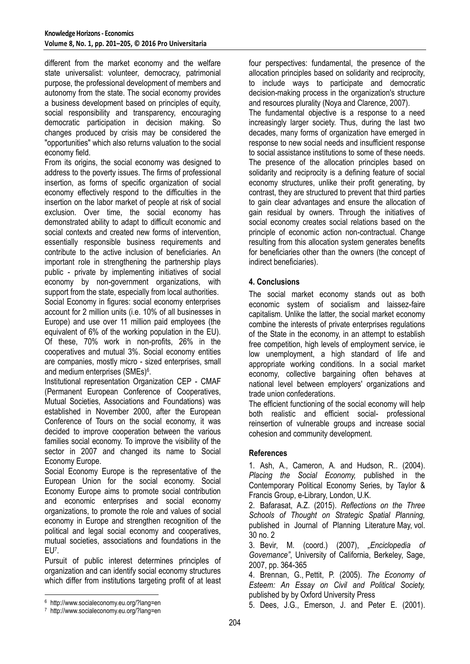different from the market economy and the welfare state universalist: volunteer, democracy, patrimonial purpose, the professional development of members and autonomy from the state. The social economy provides a business development based on principles of equity, social responsibility and transparency, encouraging democratic participation in decision making. So changes produced by crisis may be considered the "opportunities" which also returns valuation to the social economy field.

From its origins, the social economy was designed to address to the poverty issues. The firms of professional insertion, as forms of specific organization of social economy effectively respond to the difficulties in the insertion on the labor market of people at risk of social exclusion. Over time, the social economy has demonstrated ability to adapt to difficult economic and social contexts and created new forms of intervention, essentially responsible business requirements and contribute to the active inclusion of beneficiaries. An important role in strengthening the partnership plays public - private by implementing initiatives of social economy by non-government organizations, with support from the state, especially from local authorities.

Social Economy in figures: social economy enterprises account for 2 million units (i.e. 10% of all businesses in Europe) and use over 11 million paid employees (the equivalent of 6% of the working population in the EU). Of these, 70% work in non-profits, 26% in the cooperatives and mutual 3%. Social economy entities are companies, mostly micro - sized enterprises, small and medium enterprises (SMEs)<sup>6</sup>.

Institutional representation Organization CEP - CMAF (Permanent European Conference of Cooperatives, Mutual Societies, Associations and Foundations) was established in November 2000, after the European Conference of Tours on the social economy, it was decided to improve cooperation between the various families social economy. To improve the visibility of the sector in 2007 and changed its name to Social Economy Europe.

Social Economy Europe is the representative of the European Union for the social economy. Social Economy Europe aims to promote social contribution and economic enterprises and social economy organizations, to promote the role and values of social economy in Europe and strengthen recognition of the political and legal social economy and cooperatives, mutual societies, associations and foundations in the EU<sup>7</sup> .

Pursuit of public interest determines principles of organization and can identify social economy structures which differ from institutions targeting profit of at least

-

four perspectives: fundamental, the presence of the allocation principles based on solidarity and reciprocity, to include ways to participate and democratic decision-making process in the organization's structure and resources plurality (Noya and Clarence, 2007).

The fundamental objective is a response to a need increasingly larger society. Thus, during the last two decades, many forms of organization have emerged in response to new social needs and insufficient response to social assistance institutions to some of these needs. The presence of the allocation principles based on solidarity and reciprocity is a defining feature of social economy structures, unlike their profit generating, by contrast, they are structured to prevent that third parties to gain clear advantages and ensure the allocation of gain residual by owners. Through the initiatives of social economy creates social relations based on the principle of economic action non-contractual. Change resulting from this allocation system generates benefits for beneficiaries other than the owners (the concept of indirect beneficiaries).

### **4. Conclusions**

The social market economy stands out as both economic system of socialism and laissez-faire capitalism. Unlike the latter, the social market economy combine the interests of private enterprises regulations of the State in the economy, in an attempt to establish free competition, high levels of employment service, ie low unemployment, a high standard of life and appropriate working conditions. In a social market economy, collective bargaining often behaves at national level between employers' organizations and trade union confederations.

The efficient functioning of the social economy will help both realistic and efficient social- professional reinsertion of vulnerable groups and increase social cohesion and community development.

### **References**

1. Ash, A., Cameron, A. and Hudson, R.. (2004). *Placing the Social Economy,* published in the Contemporary Political Economy Series, by Taylor & Francis Group, e-Library, London, U.K.

2. [Bafarasat,](http://jpl.sagepub.com/search?author1=Abbas+Ziafati+Bafarasat&sortspec=date&submit=Submit) A.Z. (2015). *Reflections on the Three Schools of Thought on Strategic Spatial Planning,*  published in Journal of Planning Literature May, vol. 30 no. 2

3. Bevir, M. (coord.) (2007), *"Enciclopedia of Governance"*, University of California, Berkeley, Sage, 2007, pp. 364-365

4. Brennan, G., [Pettit,](https://scholar.google.ro/citations?user=jQNfOoEAAAAJ&hl=ro&oi=sra) P. (2005). *The Economy of Esteem: An Essay on Civil and Political Society,*  published by by Oxford University Press

5. Dees, J.G., Emerson, J. and Peter E. (2001).

<sup>6</sup> http://www.socialeconomy.eu.org/?lang=en

<sup>7</sup> http://www.socialeconomy.eu.org/?lang=en